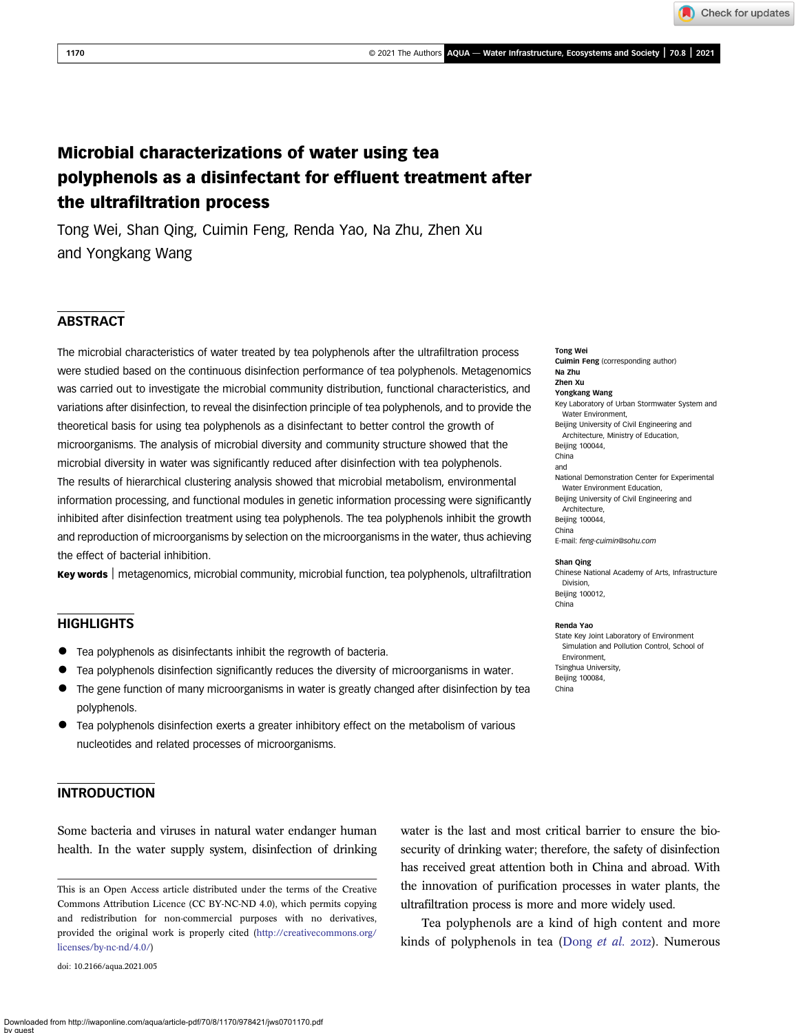# Microbial characterizations of water using tea polyphenols as a disinfectant for effluent treatment after the ultrafiltration process

Tong Wei, Shan Qing, Cuimin Feng, Renda Yao, Na Zhu, Zhen Xu and Yongkang Wang

## **ABSTRACT**

The microbial characteristics of water treated by tea polyphenols after the ultrafiltration process were studied based on the continuous disinfection performance of tea polyphenols. Metagenomics was carried out to investigate the microbial community distribution, functional characteristics, and variations after disinfection, to reveal the disinfection principle of tea polyphenols, and to provide the theoretical basis for using tea polyphenols as a disinfectant to better control the growth of microorganisms. The analysis of microbial diversity and community structure showed that the microbial diversity in water was significantly reduced after disinfection with tea polyphenols. The results of hierarchical clustering analysis showed that microbial metabolism, environmental information processing, and functional modules in genetic information processing were significantly inhibited after disinfection treatment using tea polyphenols. The tea polyphenols inhibit the growth and reproduction of microorganisms by selection on the microorganisms in the water, thus achieving the effect of bacterial inhibition.

Key words | metagenomics, microbial community, microbial function, tea polyphenols, ultrafiltration

## **HIGHLIGHTS**

- Tea polyphenols as disinfectants inhibit the regrowth of bacteria.
- Tea polyphenols disinfection significantly reduces the diversity of microorganisms in water.
- The gene function of many microorganisms in water is greatly changed after disinfection by tea polyphenols.
- Tea polyphenols disinfection exerts a greater inhibitory effect on the metabolism of various nucleotides and related processes of microorganisms.

## INTRODUCTION

Some bacteria and viruses in natural water endanger human health. In the water supply system, disinfection of drinking

doi: 10.2166/aqua.2021.005

water is the last and most critical barrier to ensure the biosecurity of drinking water; therefore, the safety of disinfection has received great attention both in China and abroad. With the innovation of purification processes in water plants, the ultrafiltration process is more and more widely used.

Tea polyphenols are a kind of high content and more kinds of polyphenols in tea [\(Dong](#page-10-0)  $et$   $al.$  2012). Numerous

### Tong Wei Cuimin Feng (corresponding author)

Na Zhu Zhen Xu Yongkang Wang Key Laboratory of Urban Stormwater System and Water Environment. Beijing University of Civil Engineering and Architecture, Ministry of Education, Beijing 100044, China and National Demonstration Center for Experimental Water Environment Education Beijing University of Civil Engineering and Architecture, Beijing 100044, China E-mail: [feng-cuimin@sohu.com](mailto:feng-cuimin@sohu.com)

#### Shan Qing

Chinese National Academy of Arts, Infrastructure Division, Beijing 100012,

## China

Renda Yao

State Key Joint Laboratory of Environment Simulation and Pollution Control, School of Environment, Tsinghua University, Beijing 100084, China

This is an Open Access article distributed under the terms of the Creative Commons Attribution Licence (CC BY-NC-ND 4.0), which permits copying and redistribution for non-commercial purposes with no derivatives, provided the original work is properly cited [\(http://creativecommons.org/](http://creativecommons.org/licenses/by-nc-nd/4.0/) [licenses/by-nc-nd/4.0/\)](http://creativecommons.org/licenses/by-nc-nd/4.0/)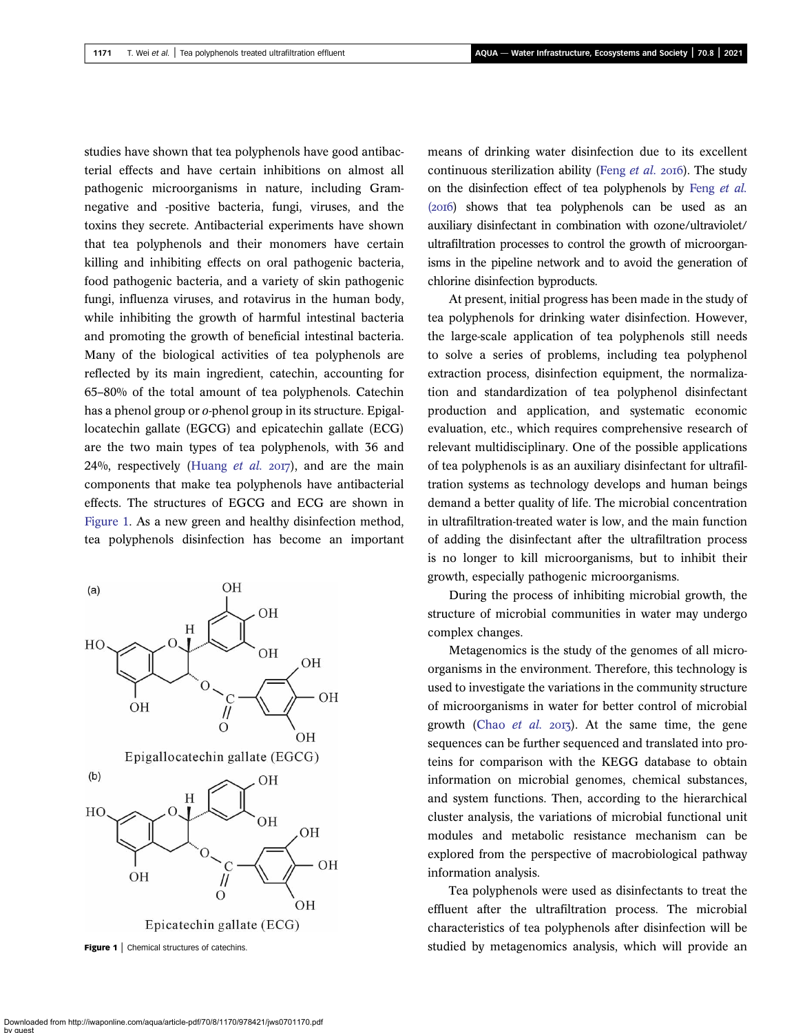studies have shown that tea polyphenols have good antibacterial effects and have certain inhibitions on almost all pathogenic microorganisms in nature, including Gramnegative and -positive bacteria, fungi, viruses, and the toxins they secrete. Antibacterial experiments have shown that tea polyphenols and their monomers have certain killing and inhibiting effects on oral pathogenic bacteria, food pathogenic bacteria, and a variety of skin pathogenic fungi, influenza viruses, and rotavirus in the human body, while inhibiting the growth of harmful intestinal bacteria and promoting the growth of beneficial intestinal bacteria. Many of the biological activities of tea polyphenols are reflected by its main ingredient, catechin, accounting for 65–80% of the total amount of tea polyphenols. Catechin has a phenol group or o-phenol group in its structure. Epigallocatechin gallate (EGCG) and epicatechin gallate (ECG) are the two main types of tea polyphenols, with 36 and 24%, respectively ([Huang](#page-10-0) et al.  $20I7$ ), and are the main components that make tea polyphenols have antibacterial effects. The structures of EGCG and ECG are shown in Figure 1. As a new green and healthy disinfection method, tea polyphenols disinfection has become an important



means of drinking water disinfection due to its excellent continuous sterilization ability (Feng [et al.](#page-10-0)  $2016$ ). The study on the disinfection effect of tea polyphenols by Feng [et al.](#page-10-0)  $(2016)$  shows that tea polyphenols can be used as an auxiliary disinfectant in combination with ozone/ultraviolet/ ultrafiltration processes to control the growth of microorganisms in the pipeline network and to avoid the generation of chlorine disinfection byproducts.

At present, initial progress has been made in the study of tea polyphenols for drinking water disinfection. However, the large-scale application of tea polyphenols still needs to solve a series of problems, including tea polyphenol extraction process, disinfection equipment, the normalization and standardization of tea polyphenol disinfectant production and application, and systematic economic evaluation, etc., which requires comprehensive research of relevant multidisciplinary. One of the possible applications of tea polyphenols is as an auxiliary disinfectant for ultrafiltration systems as technology develops and human beings demand a better quality of life. The microbial concentration in ultrafiltration-treated water is low, and the main function of adding the disinfectant after the ultrafiltration process is no longer to kill microorganisms, but to inhibit their growth, especially pathogenic microorganisms.

During the process of inhibiting microbial growth, the structure of microbial communities in water may undergo complex changes.

Metagenomics is the study of the genomes of all microorganisms in the environment. Therefore, this technology is used to investigate the variations in the community structure of microorganisms in water for better control of microbial growth (Chao *[et al.](#page-10-0)*  $2013$ ). At the same time, the gene sequences can be further sequenced and translated into proteins for comparison with the KEGG database to obtain information on microbial genomes, chemical substances, and system functions. Then, according to the hierarchical cluster analysis, the variations of microbial functional unit modules and metabolic resistance mechanism can be explored from the perspective of macrobiological pathway information analysis.

Tea polyphenols were used as disinfectants to treat the effluent after the ultrafiltration process. The microbial characteristics of tea polyphenols after disinfection will be Figure 1 | Chemical structures of catechins. studied by metagenomics analysis, which will provide an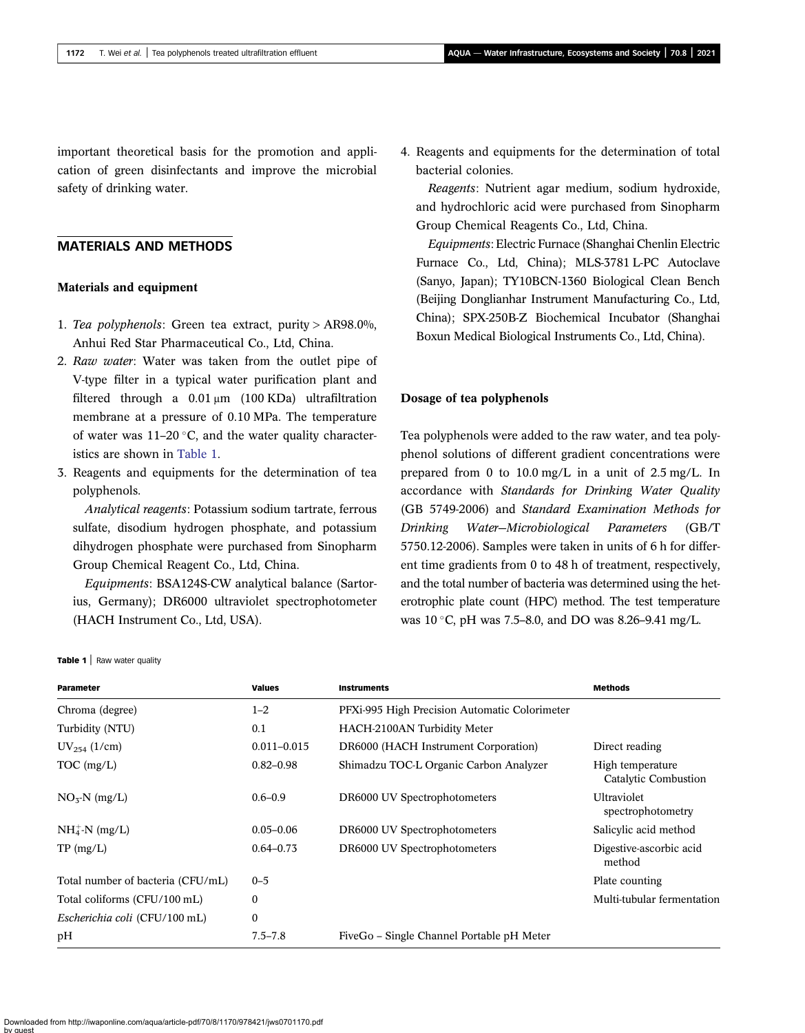important theoretical basis for the promotion and application of green disinfectants and improve the microbial safety of drinking water.

## MATERIALS AND METHODS

#### Materials and equipment

- 1. Tea polyphenols: Green tea extract, purity > AR98.0%, Anhui Red Star Pharmaceutical Co., Ltd, China.
- 2. Raw water: Water was taken from the outlet pipe of V-type filter in a typical water purification plant and filtered through a 0.01 μm (100 KDa) ultrafiltration membrane at a pressure of 0.10 MPa. The temperature of water was  $11-20$  °C, and the water quality characteristics are shown in Table 1.
- 3. Reagents and equipments for the determination of tea polyphenols.

Analytical reagents: Potassium sodium tartrate, ferrous sulfate, disodium hydrogen phosphate, and potassium dihydrogen phosphate were purchased from Sinopharm Group Chemical Reagent Co., Ltd, China.

Equipments: BSA124S-CW analytical balance (Sartorius, Germany); DR6000 ultraviolet spectrophotometer (HACH Instrument Co., Ltd, USA).

4. Reagents and equipments for the determination of total bacterial colonies.

Reagents: Nutrient agar medium, sodium hydroxide, and hydrochloric acid were purchased from Sinopharm Group Chemical Reagents Co., Ltd, China.

Equipments: Electric Furnace (Shanghai Chenlin Electric Furnace Co., Ltd, China); MLS-3781 L-PC Autoclave (Sanyo, Japan); TY10BCN-1360 Biological Clean Bench (Beijing Donglianhar Instrument Manufacturing Co., Ltd, China); SPX-250B-Z Biochemical Incubator (Shanghai Boxun Medical Biological Instruments Co., Ltd, China).

#### Dosage of tea polyphenols

Tea polyphenols were added to the raw water, and tea polyphenol solutions of different gradient concentrations were prepared from 0 to 10.0 mg/L in a unit of 2.5 mg/L. In accordance with Standards for Drinking Water Quality (GB 5749-2006) and Standard Examination Methods for Drinking Water—Microbiological Parameters (GB/T 5750.12-2006). Samples were taken in units of 6 h for different time gradients from 0 to 48 h of treatment, respectively, and the total number of bacteria was determined using the heterotrophic plate count (HPC) method. The test temperature was  $10^{\circ}$ C, pH was 7.5–8.0, and DO was 8.26–9.41 mg/L.

Table 1 | Raw water quality

| Parameter                         | <b>Values</b>    | <b>Instruments</b>                            | <b>Methods</b>                           |
|-----------------------------------|------------------|-----------------------------------------------|------------------------------------------|
| Chroma (degree)                   | $1 - 2$          | PFXi-995 High Precision Automatic Colorimeter |                                          |
| Turbidity (NTU)                   | 0.1              | <b>HACH-2100AN Turbidity Meter</b>            |                                          |
| $UV_{254}$ (1/cm)                 | $0.011 - 0.015$  | DR6000 (HACH Instrument Corporation)          | Direct reading                           |
| TOC (mg/L)                        | $0.82 - 0.98$    | Shimadzu TOC-L Organic Carbon Analyzer        | High temperature<br>Catalytic Combustion |
| $NO5-N$ (mg/L)                    | $0.6 - 0.9$      | DR6000 UV Spectrophotometers                  | <b>Ultraviolet</b><br>spectrophotometry  |
| $NH4+-N$ (mg/L)                   | $0.05 - 0.06$    | DR6000 UV Spectrophotometers                  | Salicylic acid method                    |
| TP (mg/L)                         | $0.64 - 0.73$    | DR6000 UV Spectrophotometers                  | Digestive-ascorbic acid<br>method        |
| Total number of bacteria (CFU/mL) | $0 - 5$          |                                               | Plate counting                           |
| Total coliforms (CFU/100 mL)      | $\mathbf{0}$     |                                               | Multi-tubular fermentation               |
| Escherichia coli (CFU/100 mL)     | $\boldsymbol{0}$ |                                               |                                          |
| pH                                | $7.5 - 7.8$      | FiveGo – Single Channel Portable pH Meter     |                                          |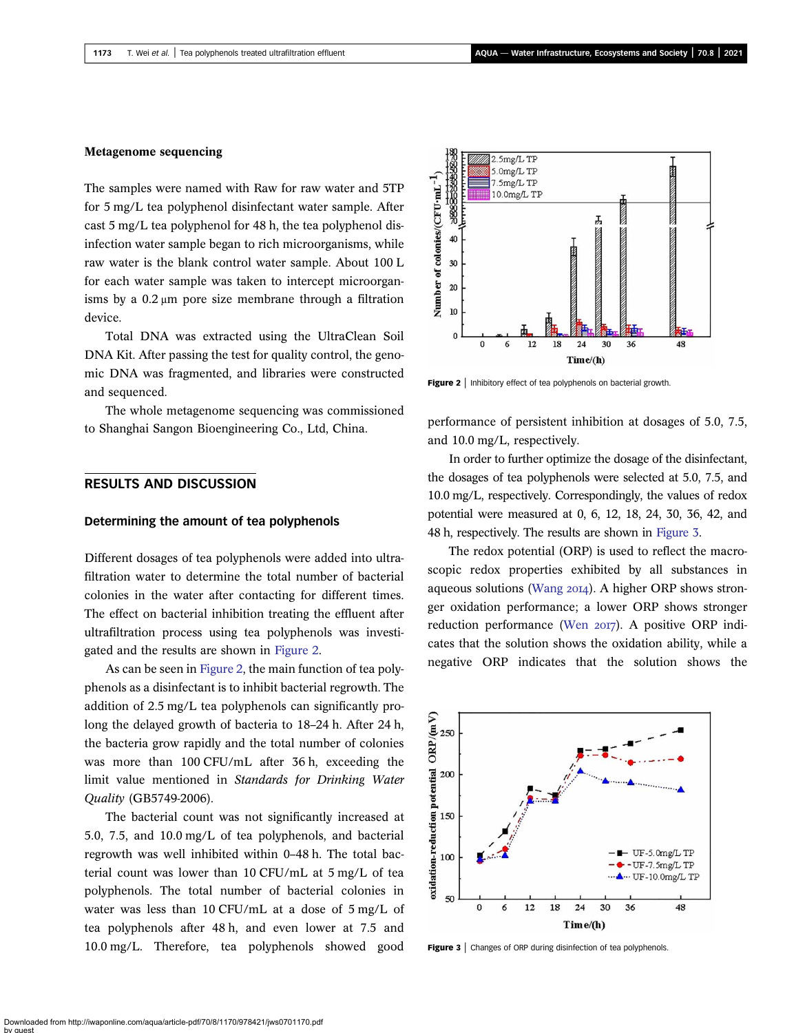### <span id="page-3-0"></span>Metagenome sequencing

The samples were named with Raw for raw water and 5TP for 5 mg/L tea polyphenol disinfectant water sample. After cast 5 mg/L tea polyphenol for 48 h, the tea polyphenol disinfection water sample began to rich microorganisms, while raw water is the blank control water sample. About 100 L for each water sample was taken to intercept microorganisms by a 0.2 μm pore size membrane through a filtration device.

Total DNA was extracted using the UltraClean Soil DNA Kit. After passing the test for quality control, the genomic DNA was fragmented, and libraries were constructed and sequenced.

The whole metagenome sequencing was commissioned to Shanghai Sangon Bioengineering Co., Ltd, China.

## RESULTS AND DISCUSSION

#### Determining the amount of tea polyphenols

Different dosages of tea polyphenols were added into ultrafiltration water to determine the total number of bacterial colonies in the water after contacting for different times. The effect on bacterial inhibition treating the effluent after ultrafiltration process using tea polyphenols was investigated and the results are shown in Figure 2.

As can be seen in Figure 2, the main function of tea polyphenols as a disinfectant is to inhibit bacterial regrowth. The addition of 2.5 mg/L tea polyphenols can significantly prolong the delayed growth of bacteria to 18–24 h. After 24 h, the bacteria grow rapidly and the total number of colonies was more than 100 CFU/mL after 36 h, exceeding the limit value mentioned in Standards for Drinking Water Quality (GB5749-2006).

The bacterial count was not significantly increased at 5.0, 7.5, and 10.0 mg/L of tea polyphenols, and bacterial regrowth was well inhibited within 0–48 h. The total bacterial count was lower than 10 CFU/mL at 5 mg/L of tea polyphenols. The total number of bacterial colonies in water was less than 10 CFU/mL at a dose of 5 mg/L of tea polyphenols after 48 h, and even lower at 7.5 and 10.0 mg/L. Therefore, tea polyphenols showed good



**Figure 2** | Inhibitory effect of tea polyphenols on bacterial growth.

performance of persistent inhibition at dosages of 5.0, 7.5, and 10.0 mg/L, respectively.

In order to further optimize the dosage of the disinfectant, the dosages of tea polyphenols were selected at 5.0, 7.5, and 10.0 mg/L, respectively. Correspondingly, the values of redox potential were measured at 0, 6, 12, 18, 24, 30, 36, 42, and 48 h, respectively. The results are shown in Figure 3.

The redox potential (ORP) is used to reflect the macroscopic redox properties exhibited by all substances in aqueous solutions ([Wang](#page-10-0)  $20I4$ ). A higher ORP shows stronger oxidation performance; a lower ORP shows stronger reduction performance ([Wen](#page-10-0) 2017). A positive ORP indicates that the solution shows the oxidation ability, while a negative ORP indicates that the solution shows the



Figure 3 | Changes of ORP during disinfection of tea polyphenols.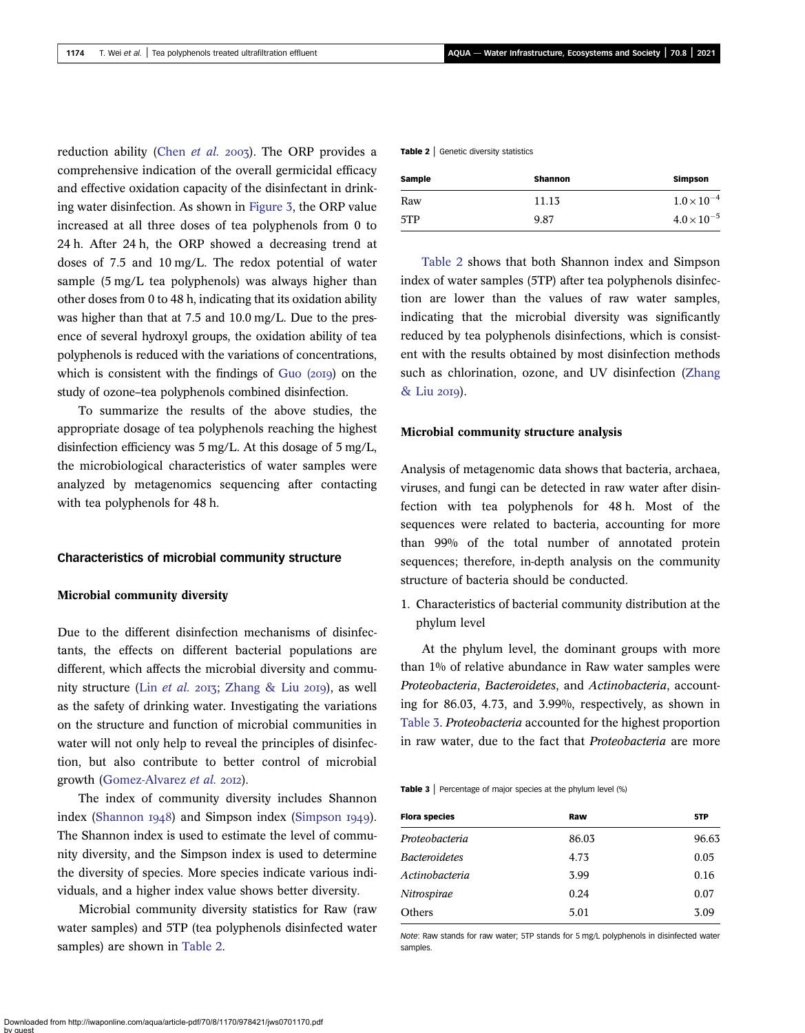<span id="page-4-0"></span>reduction ability ([Chen](#page-10-0) et al. 2003). The ORP provides a comprehensive indication of the overall germicidal efficacy and effective oxidation capacity of the disinfectant in drinking water disinfection. As shown in [Figure 3,](#page-3-0) the ORP value increased at all three doses of tea polyphenols from 0 to 24 h. After 24 h, the ORP showed a decreasing trend at doses of 7.5 and 10 mg/L. The redox potential of water sample (5 mg/L tea polyphenols) was always higher than other doses from 0 to 48 h, indicating that its oxidation ability was higher than that at 7.5 and 10.0 mg/L. Due to the presence of several hydroxyl groups, the oxidation ability of tea polyphenols is reduced with the variations of concentrations, which is consistent with the findings of  $Gu$  ( $20I9$ ) on the study of ozone–tea polyphenols combined disinfection.

To summarize the results of the above studies, the appropriate dosage of tea polyphenols reaching the highest disinfection efficiency was 5 mg/L. At this dosage of 5 mg/L, the microbiological characteristics of water samples were analyzed by metagenomics sequencing after contacting with tea polyphenols for 48 h.

#### Characteristics of microbial community structure

#### Microbial community diversity

Due to the different disinfection mechanisms of disinfectants, the effects on different bacterial populations are different, which affects the microbial diversity and community structure (Lin [et al.](#page-10-0) 2013; [Zhang & Liu](#page-10-0) 2019), as well as the safety of drinking water. Investigating the variations on the structure and function of microbial communities in water will not only help to reveal the principles of disinfection, but also contribute to better control of microbial growth ([Gomez-Alvarez](#page-10-0) et al. 2012).

The index of community diversity includes Shannon index [\(Shannon](#page-10-0)  $1948$ ) and [Simpson](#page-10-0) index (Simpson  $1949$ ). The Shannon index is used to estimate the level of community diversity, and the Simpson index is used to determine the diversity of species. More species indicate various individuals, and a higher index value shows better diversity.

Microbial community diversity statistics for Raw (raw water samples) and 5TP (tea polyphenols disinfected water samples) are shown in Table 2.

Table 2 | Genetic diversity statistics

| Sample | <b>Shannon</b> | <b>Simpson</b>       |
|--------|----------------|----------------------|
| Raw    | 11.13          | $1.0 \times 10^{-4}$ |
| 5TP    | 9.87           | $4.0 \times 10^{-5}$ |

Table 2 shows that both Shannon index and Simpson index of water samples (5TP) after tea polyphenols disinfection are lower than the values of raw water samples, indicating that the microbial diversity was significantly reduced by tea polyphenols disinfections, which is consistent with the results obtained by most disinfection methods such as chlorination, ozone, and UV disinfection [\(Zhang](#page-10-0) [& Liu](#page-10-0) 2019).

#### Microbial community structure analysis

Analysis of metagenomic data shows that bacteria, archaea, viruses, and fungi can be detected in raw water after disinfection with tea polyphenols for 48 h. Most of the sequences were related to bacteria, accounting for more than 99% of the total number of annotated protein sequences; therefore, in-depth analysis on the community structure of bacteria should be conducted.

1. Characteristics of bacterial community distribution at the phylum level

At the phylum level, the dominant groups with more than 1% of relative abundance in Raw water samples were Proteobacteria, Bacteroidetes, and Actinobacteria, accounting for 86.03, 4.73, and 3.99%, respectively, as shown in Table 3. Proteobacteria accounted for the highest proportion in raw water, due to the fact that Proteobacteria are more

Table 3 | Percentage of major species at the phylum level (%)

| <b>Flora species</b> | Raw   | 5TP   |
|----------------------|-------|-------|
| Proteobacteria       | 86.03 | 96.63 |
| <i>Bacteroidetes</i> | 4.73  | 0.05  |
| Actinobacteria       | 3.99  | 0.16  |
| Nitrospirae          | 0.24  | 0.07  |
| Others               | 5.01  | 3.09  |
|                      |       |       |

Note: Raw stands for raw water; 5TP stands for 5 mg/L polyphenols in disinfected water samples.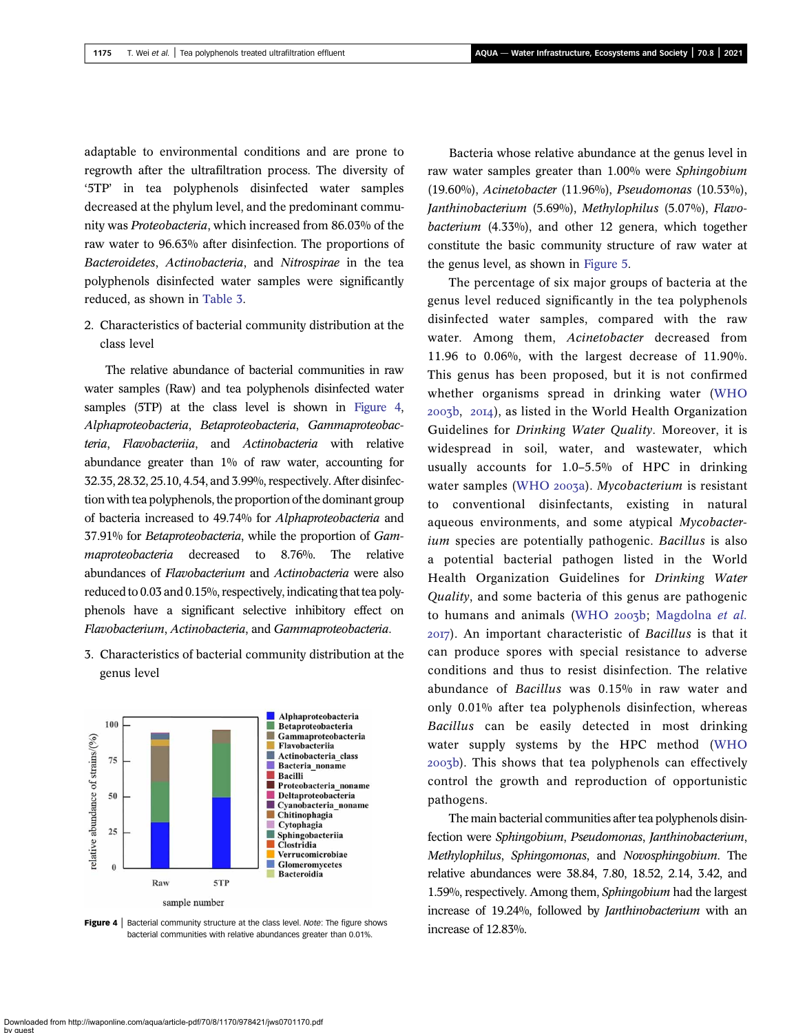adaptable to environmental conditions and are prone to regrowth after the ultrafiltration process. The diversity of '5TP' in tea polyphenols disinfected water samples decreased at the phylum level, and the predominant community was Proteobacteria, which increased from 86.03% of the raw water to 96.63% after disinfection. The proportions of Bacteroidetes, Actinobacteria, and Nitrospirae in the tea polyphenols disinfected water samples were significantly reduced, as shown in [Table 3.](#page-4-0)

2. Characteristics of bacterial community distribution at the class level

The relative abundance of bacterial communities in raw water samples (Raw) and tea polyphenols disinfected water samples (5TP) at the class level is shown in Figure 4, Alphaproteobacteria, Betaproteobacteria, Gammaproteobacteria, Flavobacteriia, and Actinobacteria with relative abundance greater than 1% of raw water, accounting for 32.35, 28.32, 25.10, 4.54, and 3.99%, respectively. After disinfection with tea polyphenols, the proportion of the dominant group of bacteria increased to 49.74% for Alphaproteobacteria and 37.91% for Betaproteobacteria, while the proportion of Gammaproteobacteria decreased to 8.76%. The relative abundances of Flavobacterium and Actinobacteria were also reduced to 0.03 and 0.15%, respectively, indicating that tea polyphenols have a significant selective inhibitory effect on Flavobacterium, Actinobacteria, and Gammaproteobacteria.

3. Characteristics of bacterial community distribution at the genus level



**Figure 4** | Bacterial community structure at the class level. *Note:* The figure shows  $\frac{1}{2.83\%}$ . bacterial communities with relative abundances greater than 0.01%.

Bacteria whose relative abundance at the genus level in raw water samples greater than 1.00% were Sphingobium (19.60%), Acinetobacter (11.96%), Pseudomonas (10.53%), Janthinobacterium (5.69%), Methylophilus (5.07%), Flavobacterium (4.33%), and other 12 genera, which together constitute the basic community structure of raw water at the genus level, as shown in [Figure 5.](#page-6-0)

The percentage of six major groups of bacteria at the genus level reduced significantly in the tea polyphenols disinfected water samples, compared with the raw water. Among them, Acinetobacter decreased from 11.96 to 0.06%, with the largest decrease of 11.90%. This genus has been proposed, but it is not confirmed whether organisms spread in drinking water ([WHO](#page-10-0)  $2003b$ ,  $2014$ ), as listed in the World Health Organization Guidelines for Drinking Water Quality. Moreover, it is widespread in soil, water, and wastewater, which usually accounts for 1.0–5.5% of HPC in drinking water samples ([WHO](#page-10-0) 2003a). Mycobacterium is resistant to conventional disinfectants, existing in natural aqueous environments, and some atypical Mycobacterium species are potentially pathogenic. Bacillus is also a potential bacterial pathogen listed in the World Health Organization Guidelines for Drinking Water Quality, and some bacteria of this genus are pathogenic to humans and animals ([WHO](#page-10-0) 2003b; [Magdolna](#page-10-0) et al. ). An important characteristic of Bacillus is that it can produce spores with special resistance to adverse conditions and thus to resist disinfection. The relative abundance of Bacillus was 0.15% in raw water and only 0.01% after tea polyphenols disinfection, whereas Bacillus can be easily detected in most drinking water supply systems by the HPC method ([WHO](#page-10-0) b). This shows that tea polyphenols can effectively control the growth and reproduction of opportunistic pathogens.

The main bacterial communities after tea polyphenols disinfection were Sphingobium, Pseudomonas, Janthinobacterium, Methylophilus, Sphingomonas, and Novosphingobium. The relative abundances were 38.84, 7.80, 18.52, 2.14, 3.42, and 1.59%, respectively. Among them, Sphingobium had the largest increase of 19.24%, followed by Janthinobacterium with an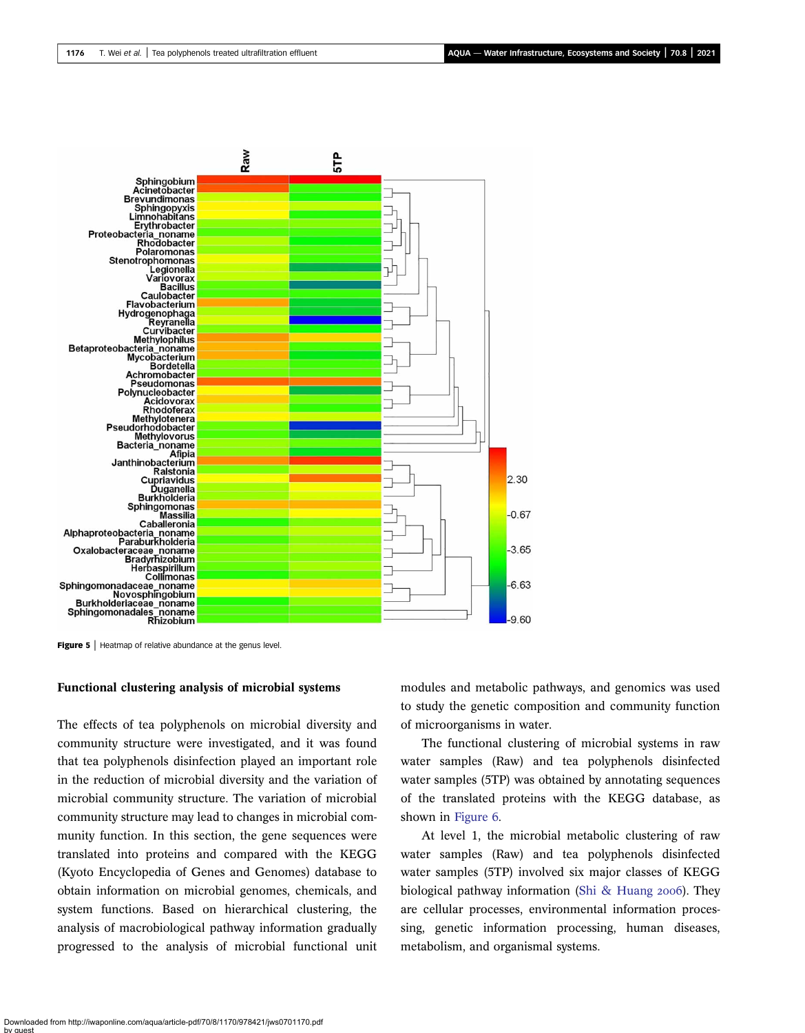<span id="page-6-0"></span>

Figure 5 | Heatmap of relative abundance at the genus level.

#### Functional clustering analysis of microbial systems

The effects of tea polyphenols on microbial diversity and community structure were investigated, and it was found that tea polyphenols disinfection played an important role in the reduction of microbial diversity and the variation of microbial community structure. The variation of microbial community structure may lead to changes in microbial community function. In this section, the gene sequences were translated into proteins and compared with the KEGG (Kyoto Encyclopedia of Genes and Genomes) database to obtain information on microbial genomes, chemicals, and system functions. Based on hierarchical clustering, the analysis of macrobiological pathway information gradually progressed to the analysis of microbial functional unit modules and metabolic pathways, and genomics was used to study the genetic composition and community function of microorganisms in water.

The functional clustering of microbial systems in raw water samples (Raw) and tea polyphenols disinfected water samples (5TP) was obtained by annotating sequences of the translated proteins with the KEGG database, as shown in [Figure 6.](#page-7-0)

At level 1, the microbial metabolic clustering of raw water samples (Raw) and tea polyphenols disinfected water samples (5TP) involved six major classes of KEGG biological pathway information [\(Shi & Huang](#page-10-0) 2006). They are cellular processes, environmental information processing, genetic information processing, human diseases, metabolism, and organismal systems.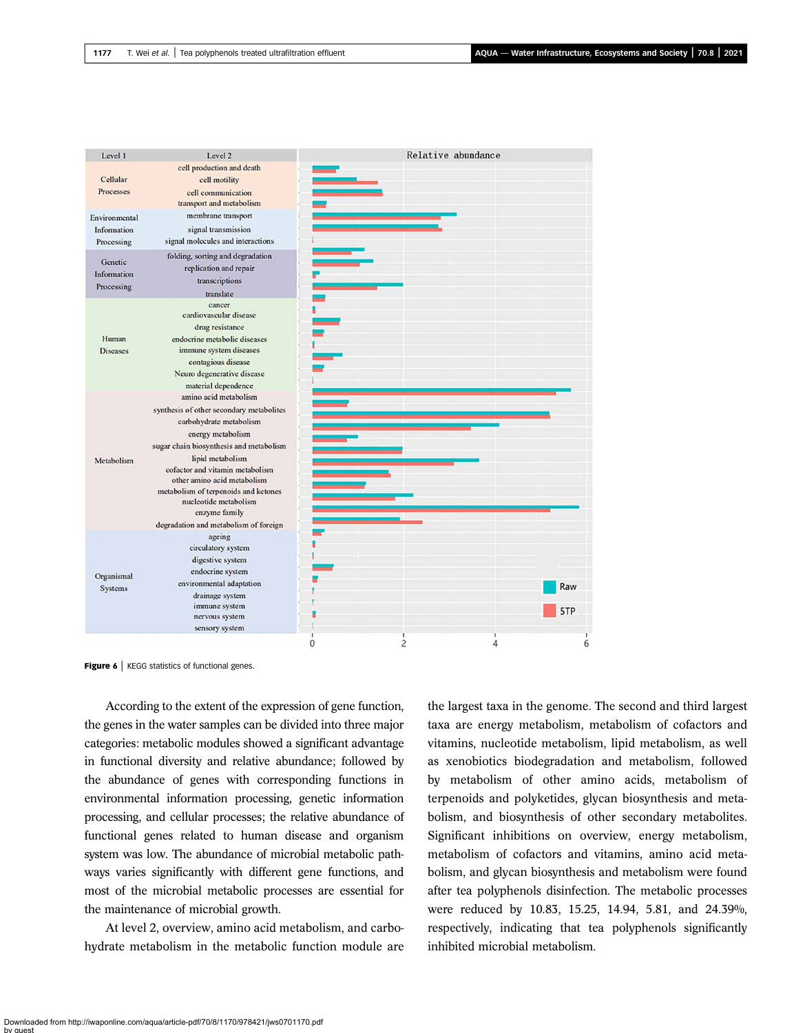<span id="page-7-0"></span>

| Level 1         | Level 2                                                        |          |   | Relative abundance |     |
|-----------------|----------------------------------------------------------------|----------|---|--------------------|-----|
|                 | cell production and death                                      |          |   |                    |     |
| Cellular        | cell motility                                                  |          |   |                    |     |
| Processes       | cell communication                                             |          |   |                    |     |
|                 | transport and metabolism                                       |          |   |                    |     |
| Environmental   | membrane transport                                             |          |   |                    |     |
| Information     | signal transmission                                            |          |   |                    |     |
|                 |                                                                |          |   |                    |     |
| Processing      | signal molecules and interactions                              |          |   |                    |     |
| Genetic         | folding, sorting and degradation                               |          |   |                    |     |
| Information     | replication and repair                                         |          |   |                    |     |
|                 | transcriptions                                                 |          |   |                    |     |
| Processing      | translate                                                      |          |   |                    |     |
|                 | cancer                                                         |          |   |                    |     |
|                 | cardiovascular disease                                         |          |   |                    |     |
|                 | drug resistance                                                |          |   |                    |     |
| Human           | endocrine metabolic diseases                                   |          |   |                    |     |
| <b>Diseases</b> | immune system diseases                                         |          |   |                    |     |
|                 | contagious disease                                             |          |   |                    |     |
|                 | Neuro degenerative disease                                     |          |   |                    |     |
|                 | material dependence                                            |          |   |                    |     |
|                 | amino acid metabolism                                          |          |   |                    |     |
|                 | synthesis of other secondary metabolites                       |          |   |                    |     |
|                 | carbohydrate metabolism                                        |          |   |                    |     |
|                 | energy metabolism                                              |          |   |                    |     |
|                 | sugar chain biosynthesis and metabolism                        |          |   |                    |     |
|                 |                                                                |          |   |                    |     |
| Metabolism      | lipid metabolism                                               |          |   |                    |     |
|                 | cofactor and vitamin metabolism<br>other amino acid metabolism |          |   |                    |     |
|                 | metabolism of terpenoids and ketones                           |          |   |                    |     |
|                 | nucleotide metabolism                                          |          |   |                    |     |
|                 | enzyme family                                                  |          |   |                    |     |
|                 | degradation and metabolism of foreign                          |          |   |                    |     |
|                 | ageing                                                         |          |   |                    |     |
|                 | circulatory system                                             |          |   |                    |     |
|                 |                                                                |          |   |                    |     |
|                 | digestive system                                               |          |   |                    |     |
| Organismal      | endocrine system                                               |          |   |                    |     |
| <b>Systems</b>  | environmental adaptation                                       |          |   |                    | Raw |
|                 | drainage system                                                |          |   |                    |     |
|                 | immune system                                                  |          |   |                    | 5TP |
|                 | nervous system                                                 |          |   |                    |     |
|                 | sensory system                                                 |          |   |                    |     |
|                 |                                                                | $\Omega$ | 2 | 4                  |     |

**Figure 6** | KEGG statistics of functional genes.

According to the extent of the expression of gene function, the genes in the water samples can be divided into three major categories: metabolic modules showed a significant advantage in functional diversity and relative abundance; followed by the abundance of genes with corresponding functions in environmental information processing, genetic information processing, and cellular processes; the relative abundance of functional genes related to human disease and organism system was low. The abundance of microbial metabolic pathways varies significantly with different gene functions, and most of the microbial metabolic processes are essential for the maintenance of microbial growth.

At level 2, overview, amino acid metabolism, and carbohydrate metabolism in the metabolic function module are the largest taxa in the genome. The second and third largest taxa are energy metabolism, metabolism of cofactors and vitamins, nucleotide metabolism, lipid metabolism, as well as xenobiotics biodegradation and metabolism, followed by metabolism of other amino acids, metabolism of terpenoids and polyketides, glycan biosynthesis and metabolism, and biosynthesis of other secondary metabolites. Significant inhibitions on overview, energy metabolism, metabolism of cofactors and vitamins, amino acid metabolism, and glycan biosynthesis and metabolism were found after tea polyphenols disinfection. The metabolic processes were reduced by 10.83, 15.25, 14.94, 5.81, and 24.39%, respectively, indicating that tea polyphenols significantly inhibited microbial metabolism.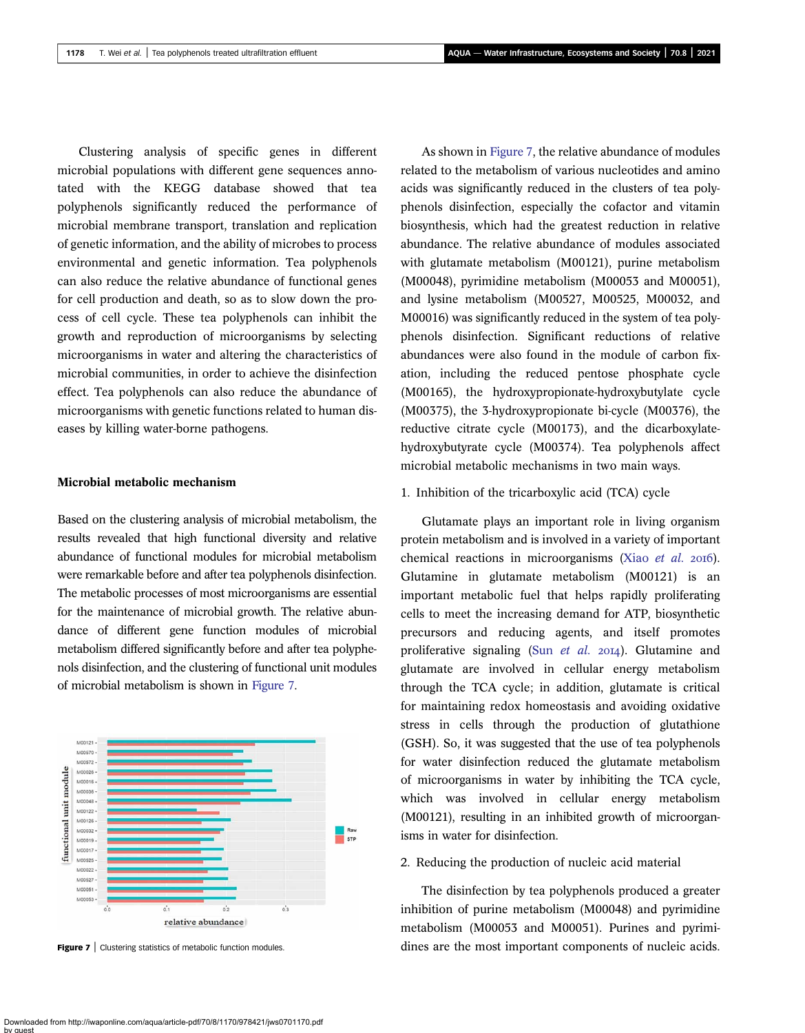Clustering analysis of specific genes in different microbial populations with different gene sequences annotated with the KEGG database showed that tea polyphenols significantly reduced the performance of microbial membrane transport, translation and replication of genetic information, and the ability of microbes to process environmental and genetic information. Tea polyphenols can also reduce the relative abundance of functional genes for cell production and death, so as to slow down the process of cell cycle. These tea polyphenols can inhibit the growth and reproduction of microorganisms by selecting microorganisms in water and altering the characteristics of microbial communities, in order to achieve the disinfection effect. Tea polyphenols can also reduce the abundance of microorganisms with genetic functions related to human diseases by killing water-borne pathogens.

#### Microbial metabolic mechanism

Based on the clustering analysis of microbial metabolism, the results revealed that high functional diversity and relative abundance of functional modules for microbial metabolism were remarkable before and after tea polyphenols disinfection. The metabolic processes of most microorganisms are essential for the maintenance of microbial growth. The relative abundance of different gene function modules of microbial metabolism differed significantly before and after tea polyphenols disinfection, and the clustering of functional unit modules of microbial metabolism is shown in Figure 7.



As shown in Figure 7, the relative abundance of modules related to the metabolism of various nucleotides and amino acids was significantly reduced in the clusters of tea polyphenols disinfection, especially the cofactor and vitamin biosynthesis, which had the greatest reduction in relative abundance. The relative abundance of modules associated with glutamate metabolism (M00121), purine metabolism (M00048), pyrimidine metabolism (M00053 and M00051), and lysine metabolism (M00527, M00525, M00032, and M00016) was significantly reduced in the system of tea polyphenols disinfection. Significant reductions of relative abundances were also found in the module of carbon fixation, including the reduced pentose phosphate cycle (M00165), the hydroxypropionate-hydroxybutylate cycle (M00375), the 3-hydroxypropionate bi-cycle (M00376), the reductive citrate cycle (M00173), and the dicarboxylatehydroxybutyrate cycle (M00374). Tea polyphenols affect microbial metabolic mechanisms in two main ways.

#### 1. Inhibition of the tricarboxylic acid (TCA) cycle

Glutamate plays an important role in living organism protein metabolism and is involved in a variety of important chemical reactions in microorganisms (Xiao [et al.](#page-10-0) 2016). Glutamine in glutamate metabolism (M00121) is an important metabolic fuel that helps rapidly proliferating cells to meet the increasing demand for ATP, biosynthetic precursors and reducing agents, and itself promotes proliferative signaling (Sun [et al.](#page-10-0)  $20I4$ ). Glutamine and glutamate are involved in cellular energy metabolism through the TCA cycle; in addition, glutamate is critical for maintaining redox homeostasis and avoiding oxidative stress in cells through the production of glutathione (GSH). So, it was suggested that the use of tea polyphenols for water disinfection reduced the glutamate metabolism of microorganisms in water by inhibiting the TCA cycle, which was involved in cellular energy metabolism (M00121), resulting in an inhibited growth of microorganisms in water for disinfection.

#### 2. Reducing the production of nucleic acid material

The disinfection by tea polyphenols produced a greater inhibition of purine metabolism (M00048) and pyrimidine metabolism (M00053 and M00051). Purines and pyrimi-Figure 7 | Clustering statistics of metabolic function modules. dines are the most important components of nucleic acids.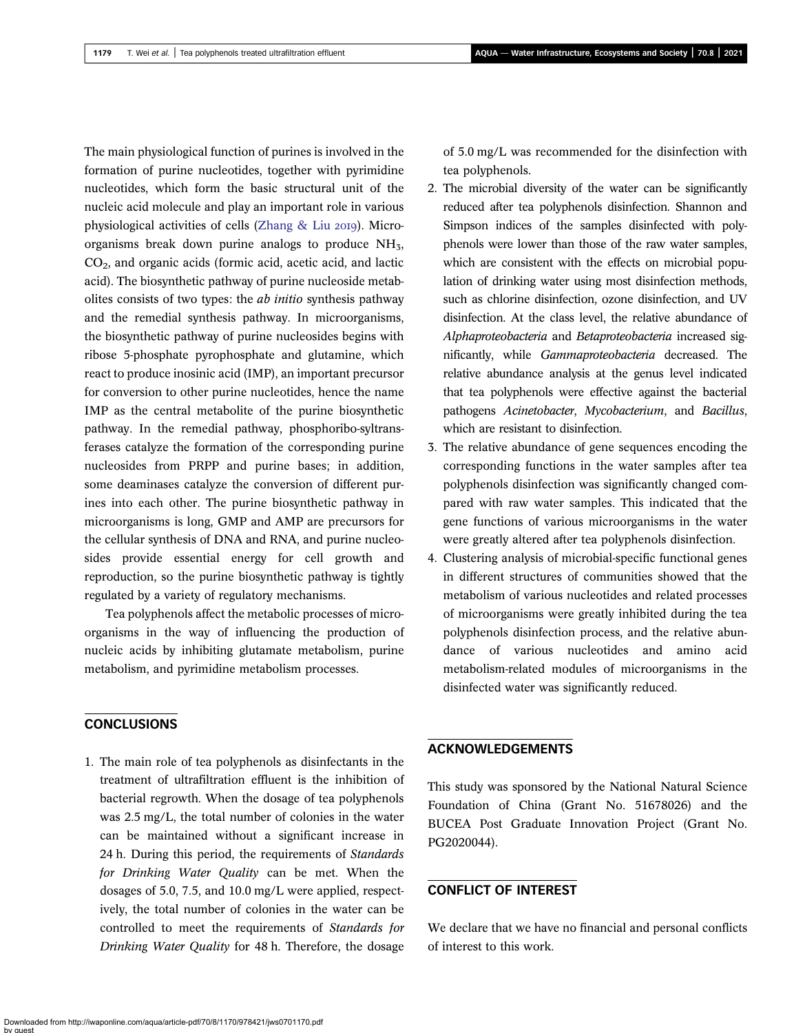The main physiological function of purines is involved in the formation of purine nucleotides, together with pyrimidine nucleotides, which form the basic structural unit of the nucleic acid molecule and play an important role in various physiological activities of cells (Zhang  $\&$  Liu 2019). Microorganisms break down purine analogs to produce  $NH<sub>3</sub>$ , CO2, and organic acids (formic acid, acetic acid, and lactic acid). The biosynthetic pathway of purine nucleoside metabolites consists of two types: the ab initio synthesis pathway and the remedial synthesis pathway. In microorganisms, the biosynthetic pathway of purine nucleosides begins with ribose 5-phosphate pyrophosphate and glutamine, which react to produce inosinic acid (IMP), an important precursor for conversion to other purine nucleotides, hence the name IMP as the central metabolite of the purine biosynthetic pathway. In the remedial pathway, phosphoribo-syltransferases catalyze the formation of the corresponding purine nucleosides from PRPP and purine bases; in addition, some deaminases catalyze the conversion of different purines into each other. The purine biosynthetic pathway in microorganisms is long, GMP and AMP are precursors for the cellular synthesis of DNA and RNA, and purine nucleosides provide essential energy for cell growth and reproduction, so the purine biosynthetic pathway is tightly regulated by a variety of regulatory mechanisms.

Tea polyphenols affect the metabolic processes of microorganisms in the way of influencing the production of nucleic acids by inhibiting glutamate metabolism, purine metabolism, and pyrimidine metabolism processes.

### **CONCLUSIONS**

1. The main role of tea polyphenols as disinfectants in the treatment of ultrafiltration effluent is the inhibition of bacterial regrowth. When the dosage of tea polyphenols was 2.5 mg/L, the total number of colonies in the water can be maintained without a significant increase in 24 h. During this period, the requirements of Standards for Drinking Water Quality can be met. When the dosages of 5.0, 7.5, and 10.0 mg/L were applied, respectively, the total number of colonies in the water can be controlled to meet the requirements of Standards for Drinking Water Quality for 48 h. Therefore, the dosage

of 5.0 mg/L was recommended for the disinfection with tea polyphenols.

- 2. The microbial diversity of the water can be significantly reduced after tea polyphenols disinfection. Shannon and Simpson indices of the samples disinfected with polyphenols were lower than those of the raw water samples, which are consistent with the effects on microbial population of drinking water using most disinfection methods, such as chlorine disinfection, ozone disinfection, and UV disinfection. At the class level, the relative abundance of Alphaproteobacteria and Betaproteobacteria increased significantly, while Gammaproteobacteria decreased. The relative abundance analysis at the genus level indicated that tea polyphenols were effective against the bacterial pathogens Acinetobacter, Mycobacterium, and Bacillus, which are resistant to disinfection.
- 3. The relative abundance of gene sequences encoding the corresponding functions in the water samples after tea polyphenols disinfection was significantly changed compared with raw water samples. This indicated that the gene functions of various microorganisms in the water were greatly altered after tea polyphenols disinfection.
- 4. Clustering analysis of microbial-specific functional genes in different structures of communities showed that the metabolism of various nucleotides and related processes of microorganisms were greatly inhibited during the tea polyphenols disinfection process, and the relative abundance of various nucleotides and amino acid metabolism-related modules of microorganisms in the disinfected water was significantly reduced.

## ACKNOWLEDGEMENTS

This study was sponsored by the National Natural Science Foundation of China (Grant No. 51678026) and the BUCEA Post Graduate Innovation Project (Grant No. PG2020044).

## CONFLICT OF INTEREST

We declare that we have no financial and personal conflicts of interest to this work.